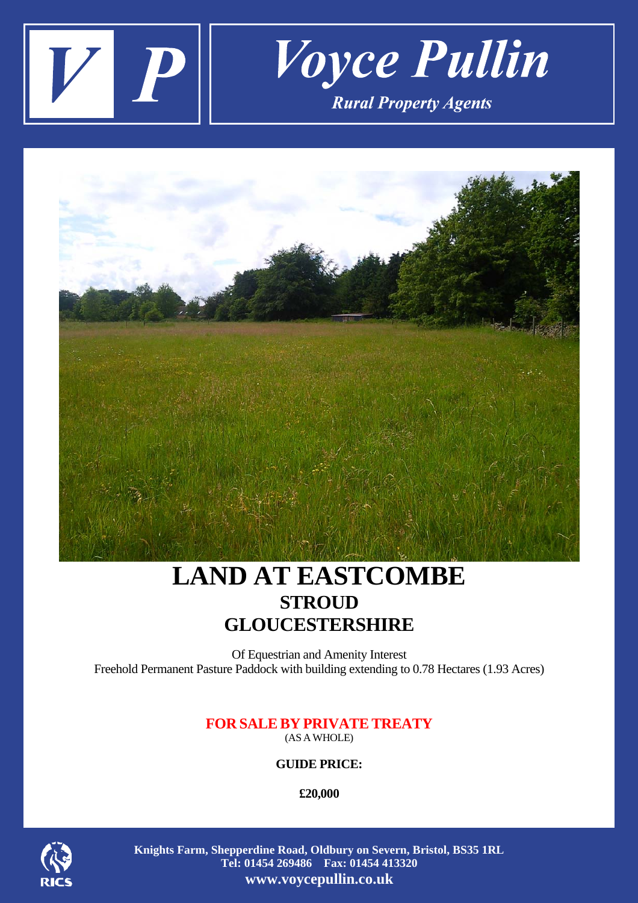



# **LAND AT EASTCOMBE STROUD GLOUCESTERSHIRE**

Of Equestrian and Amenity Interest Freehold Permanent Pasture Paddock with building extending to 0.78 Hectares (1.93 Acres)

## **FOR SALEBY PRIVATETREATY**  (AS AWHOLE)

**GUIDE PRICE:** 

**£20,000** 



**Knights Farm, Shepperdine Road, Oldbury on Severn, Bristol, BS35 1RL Tel: 01454 269486 Fax: 01454 413320 www.voycepullin.co.uk**